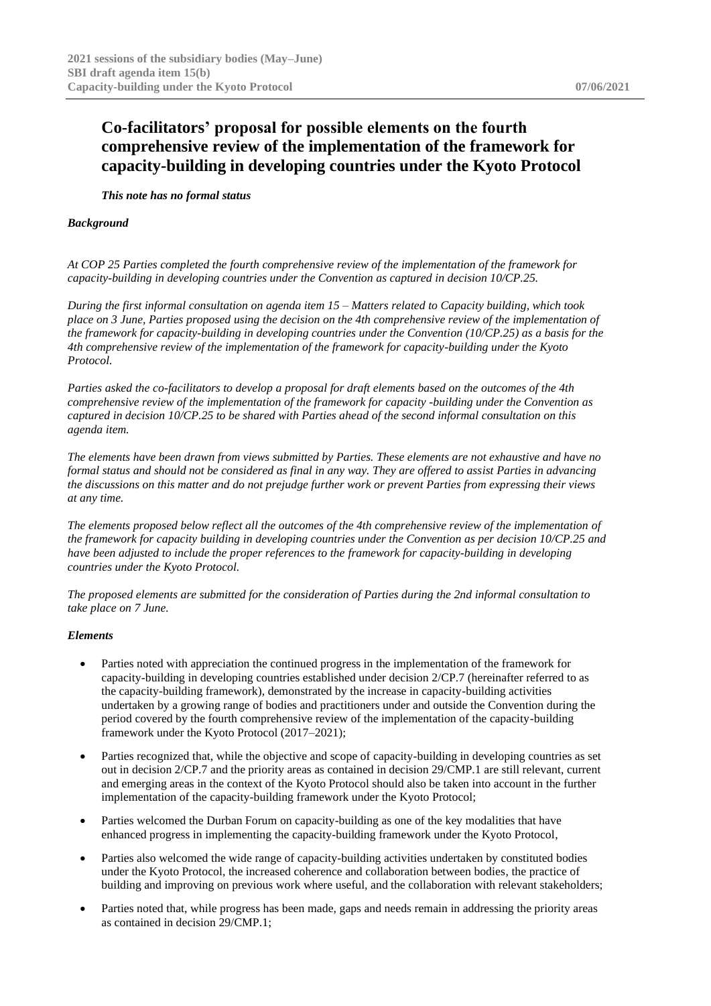## **Co-facilitators' proposal for possible elements on the fourth comprehensive review of the implementation of the framework for capacity-building in developing countries under the Kyoto Protocol**

*This note has no formal status*

## *Background*

*At COP 25 Parties completed the fourth comprehensive review of the implementation of the framework for capacity-building in developing countries under the Convention as captured in decision 10/CP.25.*

*During the first informal consultation on agenda item 15 – Matters related to Capacity building, which took place on 3 June, Parties proposed using the decision on the 4th comprehensive review of the implementation of the framework for capacity-building in developing countries under the Convention (10/CP.25) as a basis for the 4th comprehensive review of the implementation of the framework for capacity-building under the Kyoto Protocol.*

*Parties asked the co-facilitators to develop a proposal for draft elements based on the outcomes of the 4th comprehensive review of the implementation of the framework for capacity -building under the Convention as captured in decision 10/CP.25 to be shared with Parties ahead of the second informal consultation on this agenda item.*

*The elements have been drawn from views submitted by Parties. These elements are not exhaustive and have no formal status and should not be considered as final in any way. They are offered to assist Parties in advancing the discussions on this matter and do not prejudge further work or prevent Parties from expressing their views at any time.*

*The elements proposed below reflect all the outcomes of the 4th comprehensive review of the implementation of the framework for capacity building in developing countries under the Convention as per decision 10/CP.25 and have been adjusted to include the proper references to the framework for capacity-building in developing countries under the Kyoto Protocol.*

*The proposed elements are submitted for the consideration of Parties during the 2nd informal consultation to take place on 7 June.*

## *Elements*

- Parties noted with appreciation the continued progress in the implementation of the framework for capacity-building in developing countries established under decision 2/CP.7 (hereinafter referred to as the capacity-building framework), demonstrated by the increase in capacity-building activities undertaken by a growing range of bodies and practitioners under and outside the Convention during the period covered by the fourth comprehensive review of the implementation of the capacity-building framework under the Kyoto Protocol (2017–2021);
- Parties recognized that, while the objective and scope of capacity-building in developing countries as set out in decision 2/CP.7 and the priority areas as contained in decision 29/CMP.1 are still relevant, current and emerging areas in the context of the Kyoto Protocol should also be taken into account in the further implementation of the capacity-building framework under the Kyoto Protocol;
- Parties welcomed the Durban Forum on capacity-building as one of the key modalities that have enhanced progress in implementing the capacity-building framework under the Kyoto Protocol,
- Parties also welcomed the wide range of capacity-building activities undertaken by constituted bodies under the Kyoto Protocol, the increased coherence and collaboration between bodies, the practice of building and improving on previous work where useful, and the collaboration with relevant stakeholders;
- Parties noted that, while progress has been made, gaps and needs remain in addressing the priority areas as contained in decision 29/CMP.1;